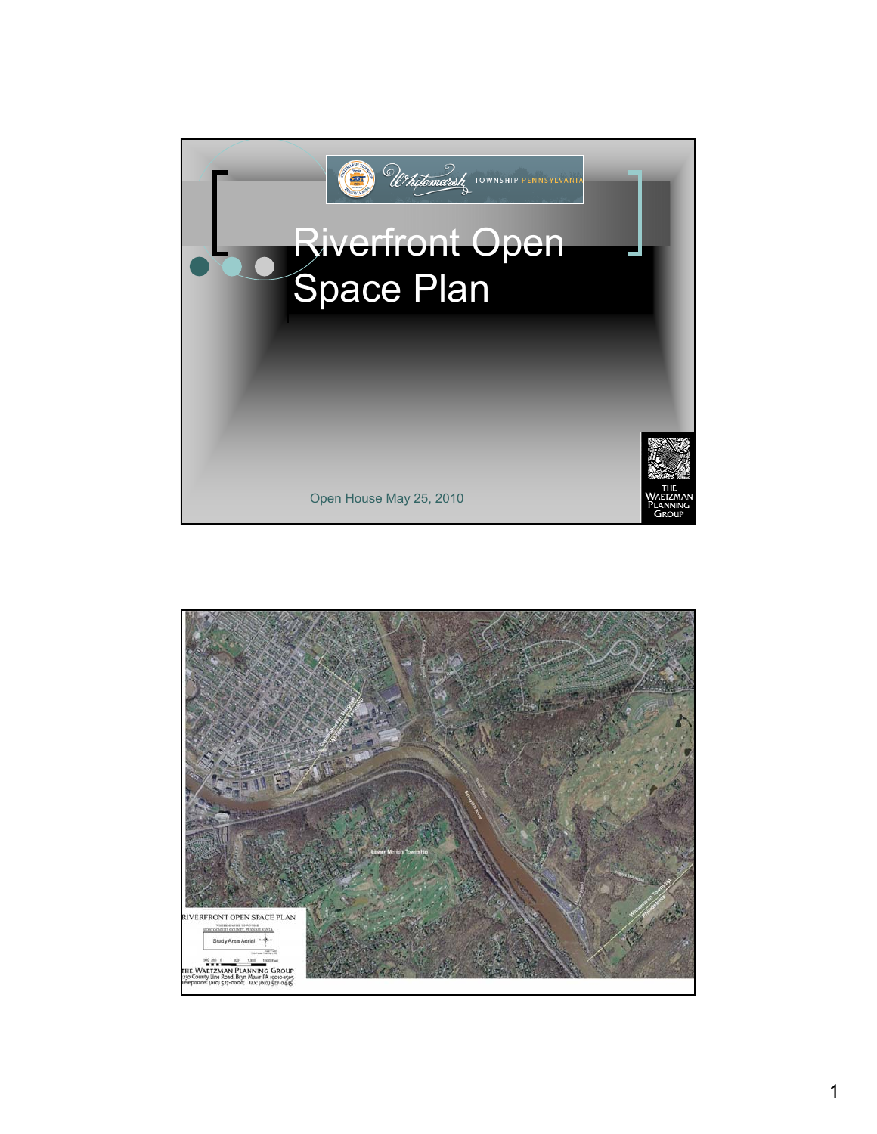

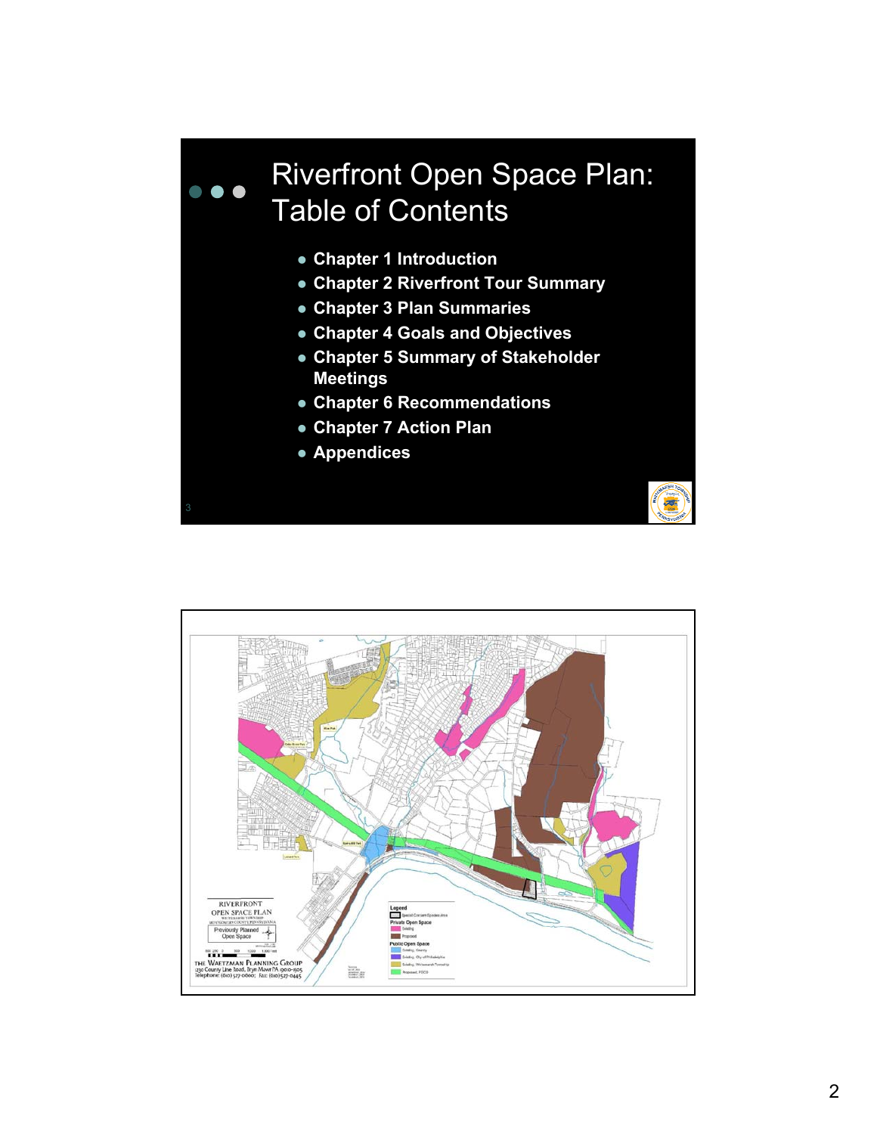# Riverfront Open Space Plan:  $\overline{\phantom{a}}$ Table of Contents

- **Chapter 1 Introduction**
- **Chapter 2 Riverfront Tour Summary**
- z **Chapter 3 Plan Summaries**
- **Chapter 4 Goals and Objectives**
- **Chapter 5 Summary of Stakeholder Meetings**
- **Chapter 6 Recommendations**
- **Chapter 7 Action Plan**
- **Appendices**

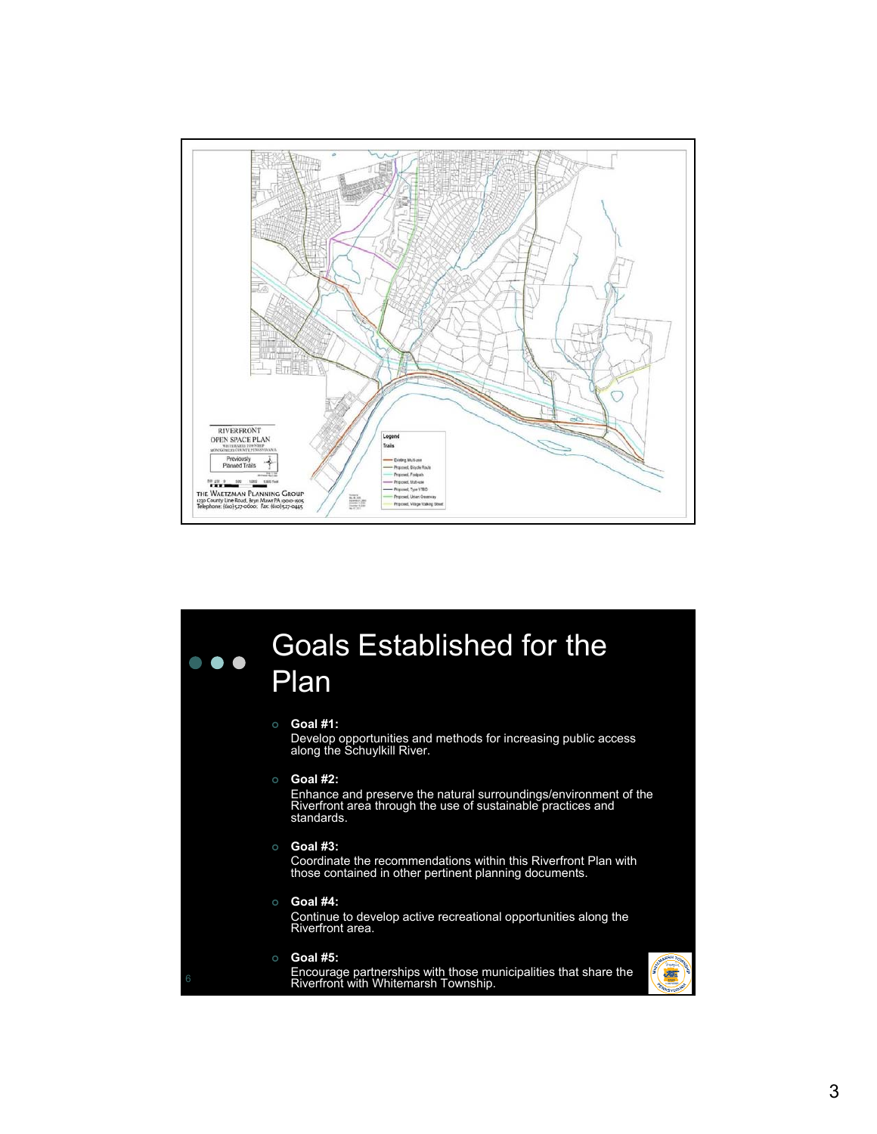

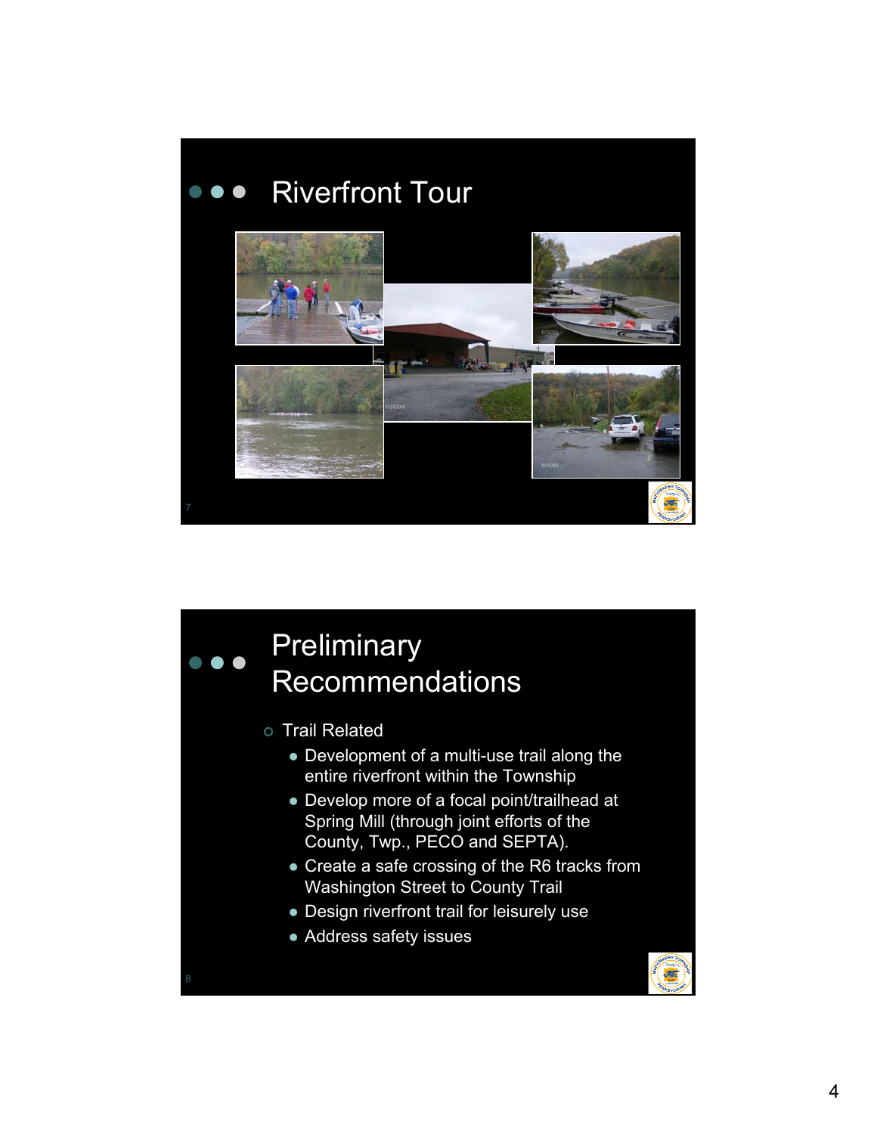

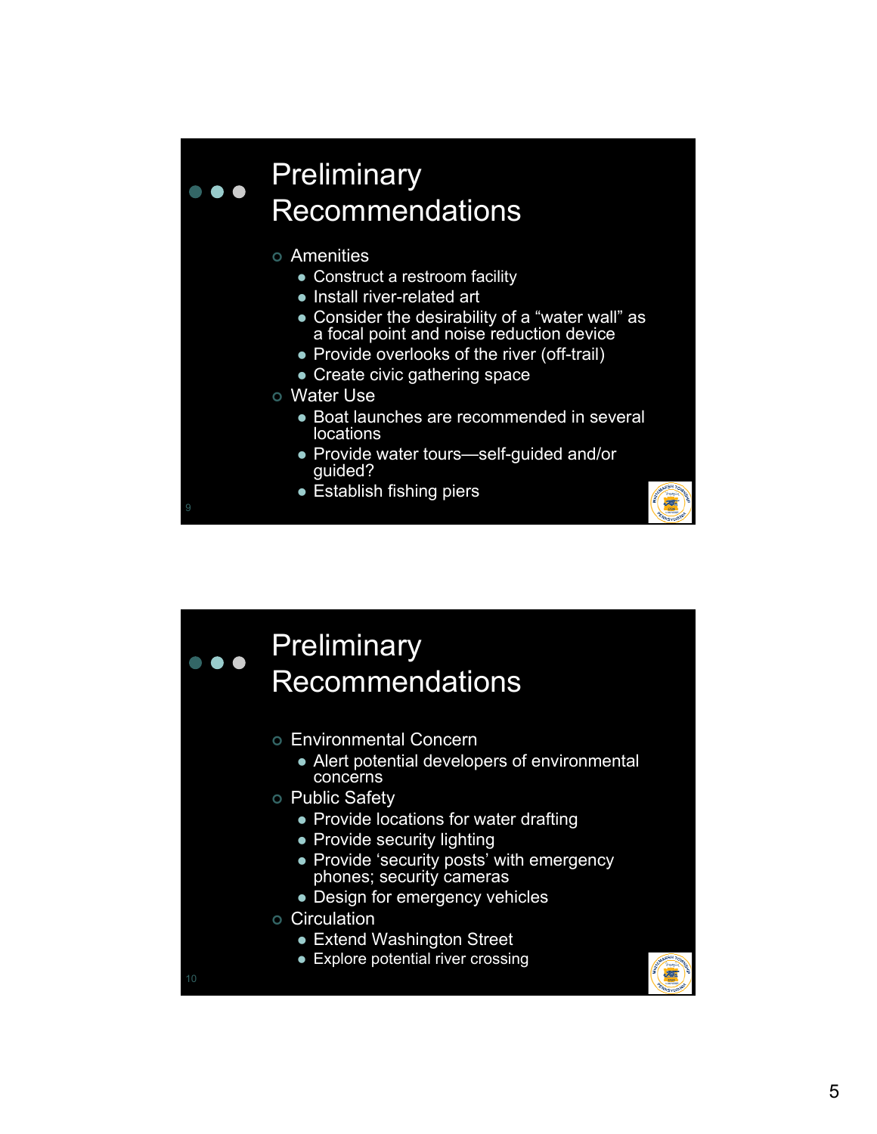# **Preliminary** Recommendations

| Amenities

 $\bullet$   $\bullet$ 

- Construct a restroom facility
- Install river-related art
- Consider the desirability of a "water wall" as a focal point and noise reduction device
- Provide overlooks of the river (off-trail)
- Create civic gathering space
- o Water Use
	- Boat launches are recommended in several locations
	- Provide water tours—self-guided and/or guided?
	- Establish fishing piers

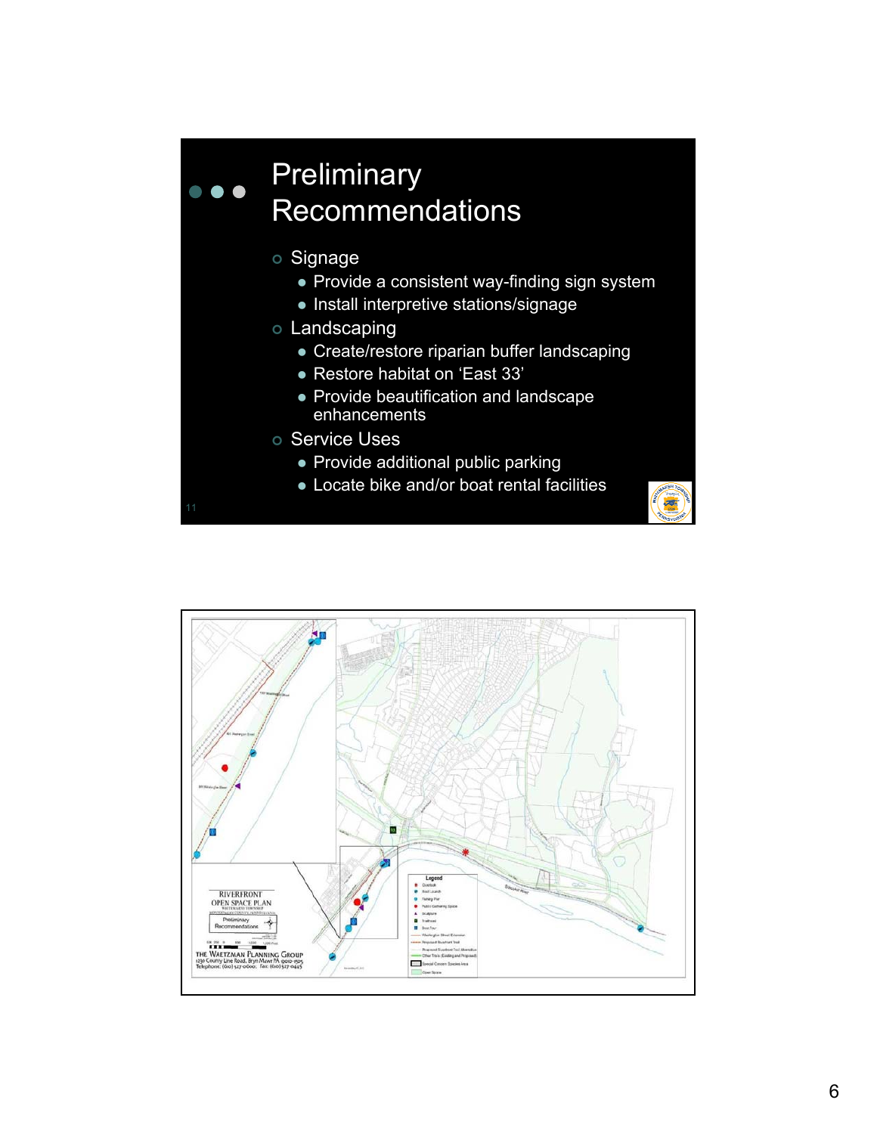# **Preliminary**  $\bullet$   $\bullet$   $\bullet$ Recommendations

- o Signage
	- $\bullet$  Provide a consistent way-finding sign system
	- Install interpretive stations/signage
- o Landscaping
	- Create/restore riparian buffer landscaping
	- Restore habitat on 'East 33'
	- Provide beautification and landscape enhancements
- o Service Uses
	- Provide additional public parking
	- Locate bike and/or boat rental facilities



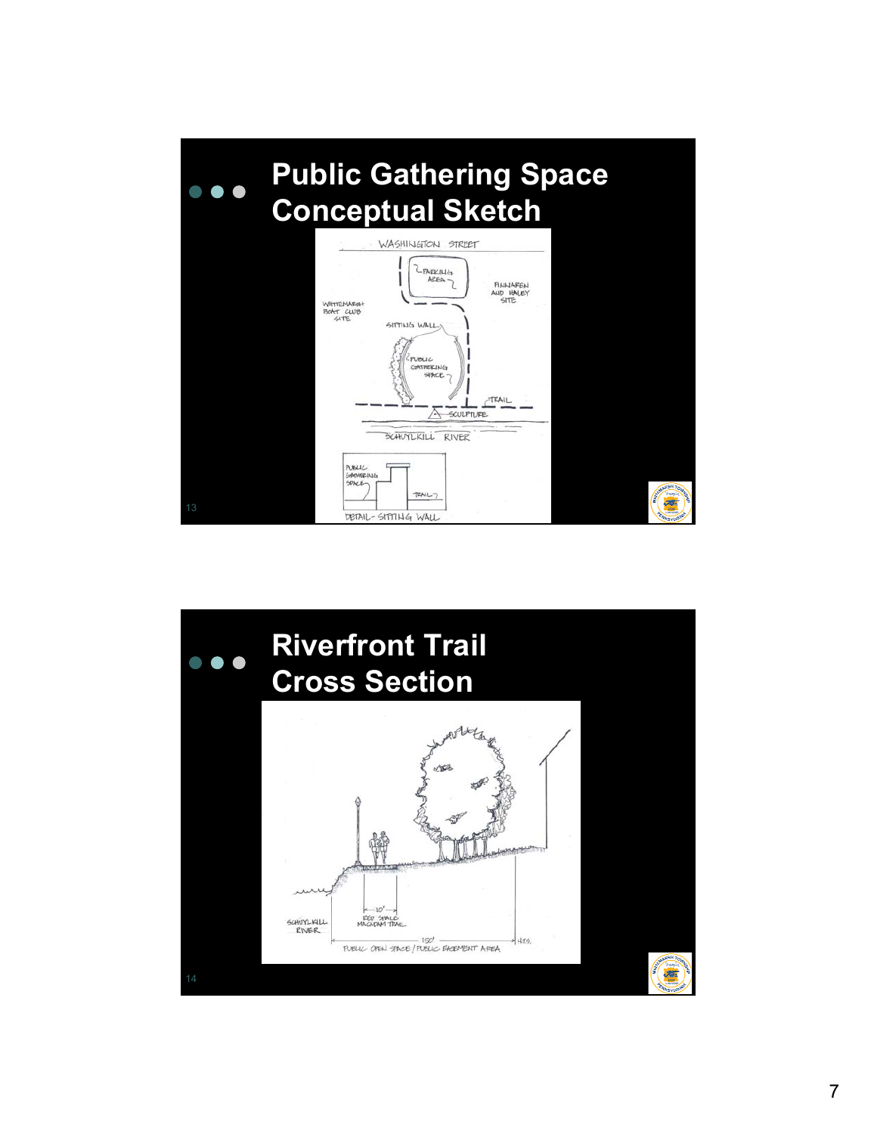

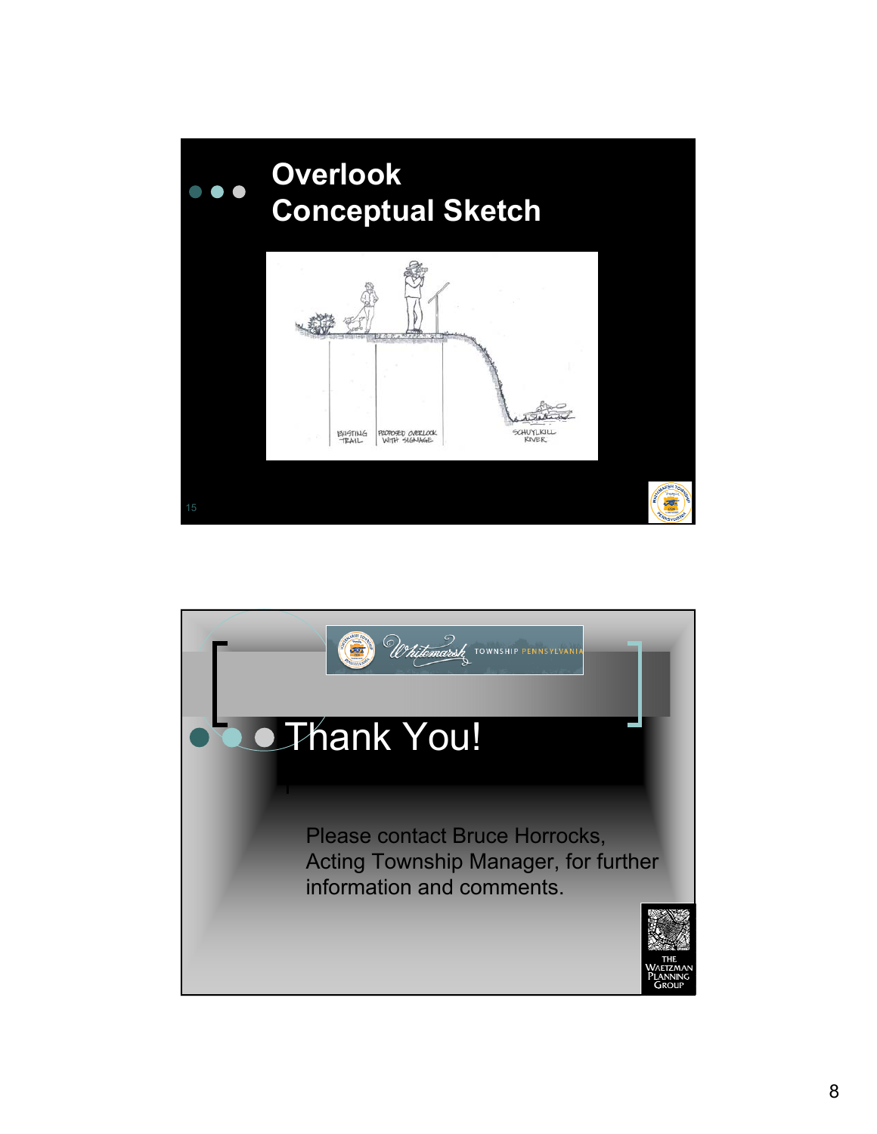

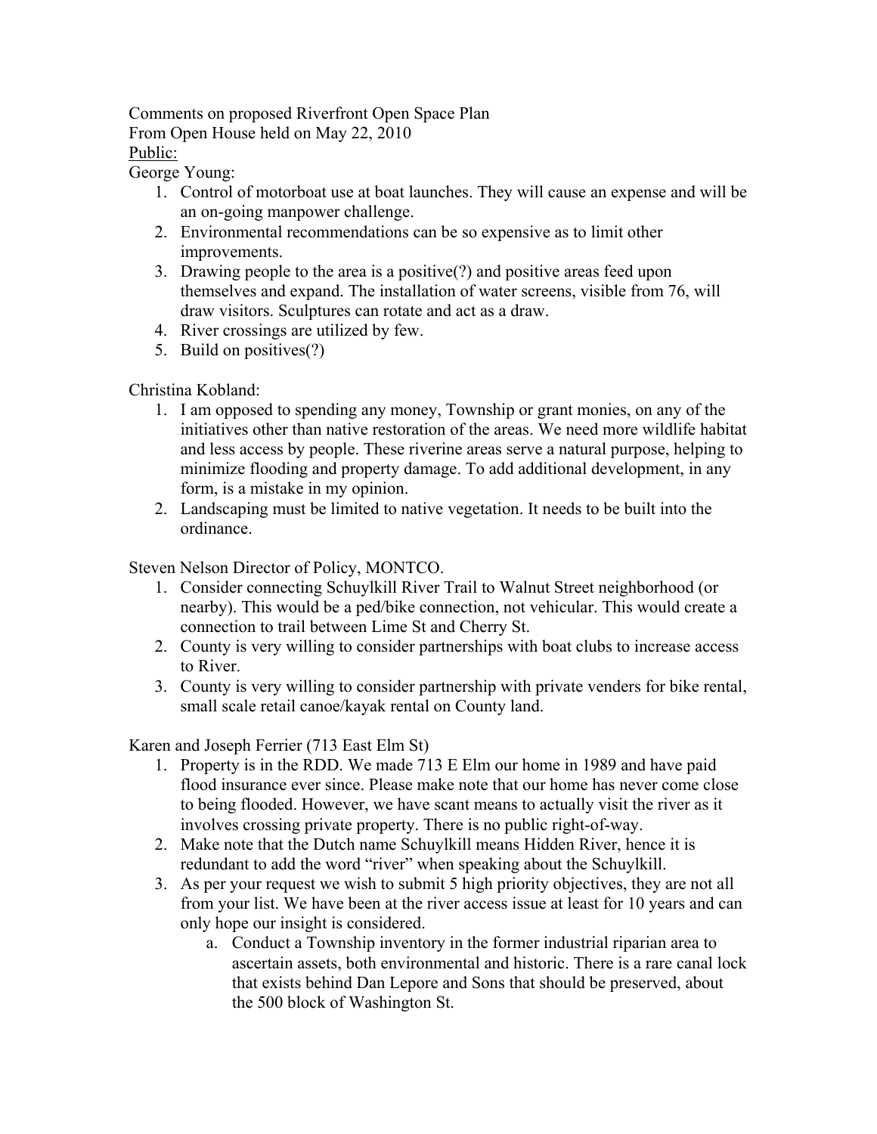Comments on proposed Riverfront Open Space Plan From Open House held on May 22, 2010 Public:

George Young:

- 1. Control of motorboat use at boat launches. They will cause an expense and will be an on-going manpower challenge.
- 2. Environmental recommendations can be so expensive as to limit other improvements.
- 3. Drawing people to the area is a positive(?) and positive areas feed upon themselves and expand. The installation of water screens, visible from 76, will draw visitors. Sculptures can rotate and act as a draw.
- 4. River crossings are utilized by few.
- 5. Build on positives(?)

Christina Kobland:

- 1. I am opposed to spending any money, Township or grant monies, on any of the initiatives other than native restoration of the areas. We need more wildlife habitat and less access by people. These riverine areas serve a natural purpose, helping to minimize flooding and property damage. To add additional development, in any form, is a mistake in my opinion.
- 2. Landscaping must be limited to native vegetation. It needs to be built into the ordinance.

Steven Nelson Director of Policy, MONTCO.

- 1. Consider connecting Schuylkill River Trail to Walnut Street neighborhood (or nearby). This would be a ped/bike connection, not vehicular. This would create a connection to trail between Lime St and Cherry St.
- 2. County is very willing to consider partnerships with boat clubs to increase access to River.
- 3. County is very willing to consider partnership with private venders for bike rental, small scale retail canoe/kayak rental on County land.

Karen and Joseph Ferrier (713 East Elm St)

- 1. Property is in the RDD. We made 713 E Elm our home in 1989 and have paid flood insurance ever since. Please make note that our home has never come close to being flooded. However, we have scant means to actually visit the river as it involves crossing private property. There is no public right-of-way.
- 2. Make note that the Dutch name Schuylkill means Hidden River, hence it is redundant to add the word "river" when speaking about the Schuylkill.
- 3. As per your request we wish to submit 5 high priority objectives, they are not all from your list. We have been at the river access issue at least for 10 years and can only hope our insight is considered.
	- a. Conduct a Township inventory in the former industrial riparian area to ascertain assets, both environmental and historic. There is a rare canal lock that exists behind Dan Lepore and Sons that should be preserved, about the 500 block of Washington St.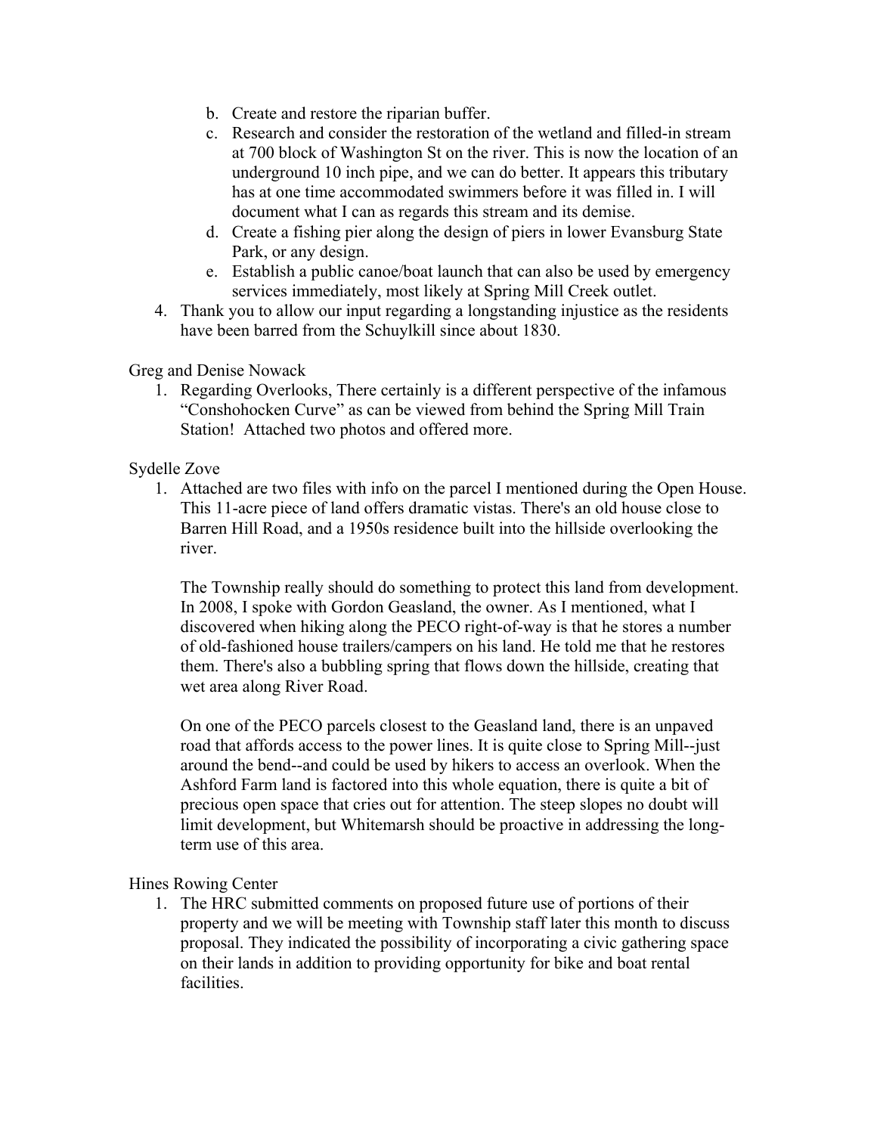- b. Create and restore the riparian buffer.
- c. Research and consider the restoration of the wetland and filled-in stream at 700 block of Washington St on the river. This is now the location of an underground 10 inch pipe, and we can do better. It appears this tributary has at one time accommodated swimmers before it was filled in. I will document what I can as regards this stream and its demise.
- d. Create a fishing pier along the design of piers in lower Evansburg State Park, or any design.
- e. Establish a public canoe/boat launch that can also be used by emergency services immediately, most likely at Spring Mill Creek outlet.
- 4. Thank you to allow our input regarding a longstanding injustice as the residents have been barred from the Schuylkill since about 1830.

Greg and Denise Nowack

1. Regarding Overlooks, There certainly is a different perspective of the infamous "Conshohocken Curve" as can be viewed from behind the Spring Mill Train Station! Attached two photos and offered more.

Sydelle Zove

1. Attached are two files with info on the parcel I mentioned during the Open House. This 11-acre piece of land offers dramatic vistas. There's an old house close to Barren Hill Road, and a 1950s residence built into the hillside overlooking the river.

The Township really should do something to protect this land from development. In 2008, I spoke with Gordon Geasland, the owner. As I mentioned, what I discovered when hiking along the PECO right-of-way is that he stores a number of old-fashioned house trailers/campers on his land. He told me that he restores them. There's also a bubbling spring that flows down the hillside, creating that wet area along River Road.

On one of the PECO parcels closest to the Geasland land, there is an unpaved road that affords access to the power lines. It is quite close to Spring Mill--just around the bend--and could be used by hikers to access an overlook. When the Ashford Farm land is factored into this whole equation, there is quite a bit of precious open space that cries out for attention. The steep slopes no doubt will limit development, but Whitemarsh should be proactive in addressing the longterm use of this area.

Hines Rowing Center

1. The HRC submitted comments on proposed future use of portions of their property and we will be meeting with Township staff later this month to discuss proposal. They indicated the possibility of incorporating a civic gathering space on their lands in addition to providing opportunity for bike and boat rental facilities.